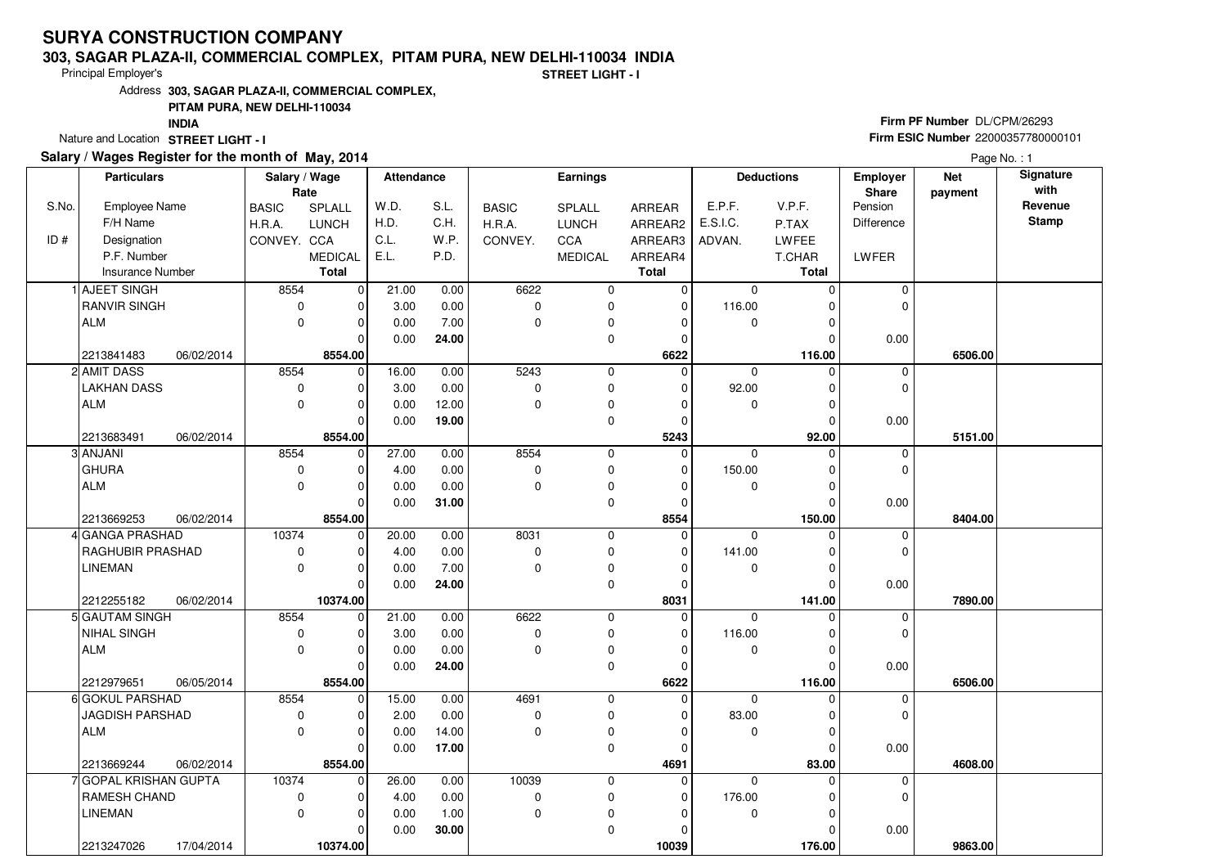#### **303, SAGAR PLAZA-II, COMMERCIAL COMPLEX, PITAM PURA, NEW DELHI-110034 INDIA**

Principal Employer's

**STREET LIGHT - I**

Address**303, SAGAR PLAZA-II, COMMERCIAL COMPLEX,**

### **PITAM PURA, NEW DELHI-110034**

**INDIA**

Nature and Location STREET LIGHT - I

### **Salary / Wages Register for the month of May, 2014**

## **Firm PF Number** DL/CPM/26293 **Firm ESIC Number** <sup>22000357780000101</sup>

Page No. : 1

|       | <b>Particulars</b>                                | Salary / Wage<br>Rate |                | <b>Attendance</b> |       | Earnings     |                          |                      | <b>Deductions</b> |                    | Employer<br>Share | <b>Net</b> | Signature<br>with |
|-------|---------------------------------------------------|-----------------------|----------------|-------------------|-------|--------------|--------------------------|----------------------|-------------------|--------------------|-------------------|------------|-------------------|
| S.No. | <b>Employee Name</b>                              | <b>BASIC</b>          | SPLALL         | W.D.              | S.L.  | <b>BASIC</b> | SPLALL                   | ARREAR               | E.P.F.            | V.P.F.             | Pension           | payment    | Revenue           |
|       | F/H Name                                          | H.R.A.                | LUNCH          | H.D.              | C.H.  | H.R.A.       | <b>LUNCH</b>             | ARREAR2              | E.S.I.C.          | P.TAX              | Difference        |            | <b>Stamp</b>      |
| ID#   | Designation                                       | CONVEY. CCA           |                | C.L.              | W.P.  | CONVEY.      | CCA                      | ARREAR3              | ADVAN.            | LWFEE              |                   |            |                   |
|       | P.F. Number                                       |                       | <b>MEDICAL</b> | E.L.              | P.D.  |              | <b>MEDICAL</b>           | ARREAR4              |                   | T.CHAR             | LWFER             |            |                   |
|       | Insurance Number                                  |                       | <b>Total</b>   |                   |       |              |                          | <b>Total</b>         |                   | Total              |                   |            |                   |
|       | 1 AJEET SINGH                                     | 8554                  | $\mathbf 0$    | 21.00             | 0.00  | 6622         | $\mathbf 0$              | $\mathbf 0$          | $\mathbf 0$       | $\Omega$           | $\Omega$          |            |                   |
|       | <b>RANVIR SINGH</b>                               | $\mathbf 0$           | 0              | 3.00              | 0.00  | $\pmb{0}$    | $\mathbf 0$              | $\mathbf 0$          | 116.00            | $\Omega$           | 0                 |            |                   |
|       | <b>ALM</b>                                        | $\mathbf 0$           | 0              | 0.00              | 7.00  | 0            | $\pmb{0}$                | 0                    | $\mathbf 0$       | $\Omega$           |                   |            |                   |
|       |                                                   |                       | $\Omega$       | 0.00              | 24.00 |              | $\pmb{0}$                | 0                    |                   | $\Omega$           | 0.00              |            |                   |
|       | 2213841483<br>06/02/2014                          |                       | 8554.00        |                   |       |              |                          | 6622                 |                   | 116.00             |                   | 6506.00    |                   |
|       | 2 AMIT DASS                                       | 8554                  | $\mathbf 0$    | 16.00             | 0.00  | 5243         | $\mathbf 0$              | $\mathbf 0$          | 0                 | $\Omega$           | 0                 |            |                   |
|       | LAKHAN DASS                                       | $\pmb{0}$             | 0              | 3.00              | 0.00  | 0            | $\mathbf 0$              | $\Omega$             | 92.00             | $\Omega$           | 0                 |            |                   |
|       | <b>ALM</b>                                        | $\mathbf 0$           | 0              | 0.00              | 12.00 | 0            | $\mathbf 0$              | 0                    | 0                 | $\Omega$           |                   |            |                   |
|       |                                                   |                       | $\Omega$       | 0.00              | 19.00 |              | $\mathbf 0$              | $\Omega$             |                   | $\Omega$           | 0.00              |            |                   |
|       | 2213683491<br>06/02/2014                          |                       | 8554.00        |                   |       |              |                          | 5243                 |                   | 92.00              |                   | 5151.00    |                   |
|       | 3 ANJANI                                          | 8554                  | $\mathbf 0$    | 27.00             | 0.00  | 8554         | $\mathbf 0$              | $\Omega$             | $\mathbf 0$       | $\Omega$           | 0                 |            |                   |
|       | <b>GHURA</b>                                      | 0                     | 0              | 4.00              | 0.00  | 0            | $\mathbf 0$              | $\mathbf 0$          | 150.00            | 0                  | 0                 |            |                   |
|       | <b>ALM</b>                                        | $\mathbf 0$           | $\overline{0}$ | 0.00              | 0.00  | 0            | $\pmb{0}$                | $\Omega$             | $\mathbf 0$       | $\Omega$           |                   |            |                   |
|       |                                                   |                       | $\Omega$       | 0.00              | 31.00 |              | $\mathbf 0$              | $\mathbf{0}$         |                   | $\Omega$           | 0.00              |            |                   |
|       | 2213669253<br>06/02/2014                          |                       | 8554.00        |                   |       |              |                          | 8554                 |                   | 150.00             |                   | 8404.00    |                   |
|       | GANGA PRASHAD                                     | 10374                 | 0              | 20.00             | 0.00  | 8031         | $\mathbf 0$              | $\mathbf 0$          | 0                 | 0                  | 0                 |            |                   |
|       | RAGHUBIR PRASHAD                                  | 0                     | 0              | 4.00              | 0.00  | 0            | $\mathbf 0$              | $\Omega$             | 141.00            | $\Omega$           | 0                 |            |                   |
|       | <b>LINEMAN</b>                                    | $\pmb{0}$             | 0              | 0.00              | 7.00  | 0            | $\pmb{0}$                | $\Omega$             | 0                 | $\Omega$           |                   |            |                   |
|       |                                                   |                       | $\Omega$       | 0.00              | 24.00 |              | $\mathbf 0$              | $\Omega$             |                   | $\Omega$           | 0.00              |            |                   |
|       | 2212255182<br>06/02/2014                          |                       | 10374.00       |                   |       |              |                          | 8031                 |                   | 141.00             |                   | 7890.00    |                   |
|       | 5 GAUTAM SINGH                                    | 8554                  | 0              | 21.00             | 0.00  | 6622         | $\mathbf 0$              | $\mathbf 0$          | $\Omega$          |                    | 0                 |            |                   |
|       | <b>NIHAL SINGH</b>                                | 0                     | 0              | 3.00              | 0.00  | 0            | $\mathbf 0$              | 0                    | 116.00            | $\Omega$           | 0                 |            |                   |
|       | ALM                                               | $\mathbf 0$           | 0              | 0.00              | 0.00  | 0            | $\pmb{0}$                | 0                    | $\mathbf 0$       | 0                  |                   |            |                   |
|       |                                                   |                       | 0              | 0.00              | 24.00 |              | $\mathbf 0$              | 0                    |                   | $\Omega$           | 0.00              |            |                   |
|       | 2212979651<br>06/05/2014<br>6 GOKUL PARSHAD       | 8554                  | 8554.00        | 15.00             | 0.00  | 4691         |                          | 6622<br>$\mathbf{0}$ | $\mathbf 0$       | 116.00<br>$\Omega$ | 0                 | 6506.00    |                   |
|       | JAGDISH PARSHAD                                   | 0                     | 0<br>0         | 2.00              | 0.00  | 0            | $\mathbf 0$<br>$\pmb{0}$ | $\Omega$             | 83.00             | $\Omega$           | 0                 |            |                   |
|       | <b>ALM</b>                                        | $\mathbf 0$           | 0              | 0.00              | 14.00 | 0            | $\pmb{0}$                | 0                    | 0                 | $\Omega$           |                   |            |                   |
|       |                                                   |                       | $\Omega$       | 0.00              | 17.00 |              | $\mathbf 0$              | $\Omega$             |                   | $\Omega$           | 0.00              |            |                   |
|       |                                                   |                       | 8554.00        |                   |       |              |                          | 4691                 |                   | 83.00              |                   | 4608.00    |                   |
|       | 2213669244<br>06/02/2014<br>7 GOPAL KRISHAN GUPTA | 10374                 | 0              | 26.00             | 0.00  | 10039        | $\mathbf 0$              | $\mathbf 0$          | $\Omega$          | $\Omega$           | 0                 |            |                   |
|       | <b>RAMESH CHAND</b>                               | 0                     | 0              | 4.00              | 0.00  | 0            | $\mathbf 0$              | 0                    | 176.00            | $\Omega$           | 0                 |            |                   |
|       | LINEMAN                                           | $\mathbf 0$           | 0              | 0.00              | 1.00  | 0            | $\pmb{0}$                | $\Omega$             | 0                 | $\Omega$           |                   |            |                   |
|       |                                                   |                       | 0              | 0.00              | 30.00 |              | $\mathbf 0$              | O                    |                   | 0                  | 0.00              |            |                   |
|       | 2213247026<br>17/04/2014                          |                       | 10374.00       |                   |       |              |                          | 10039                |                   | 176.00             |                   | 9863.00    |                   |
|       |                                                   |                       |                |                   |       |              |                          |                      |                   |                    |                   |            |                   |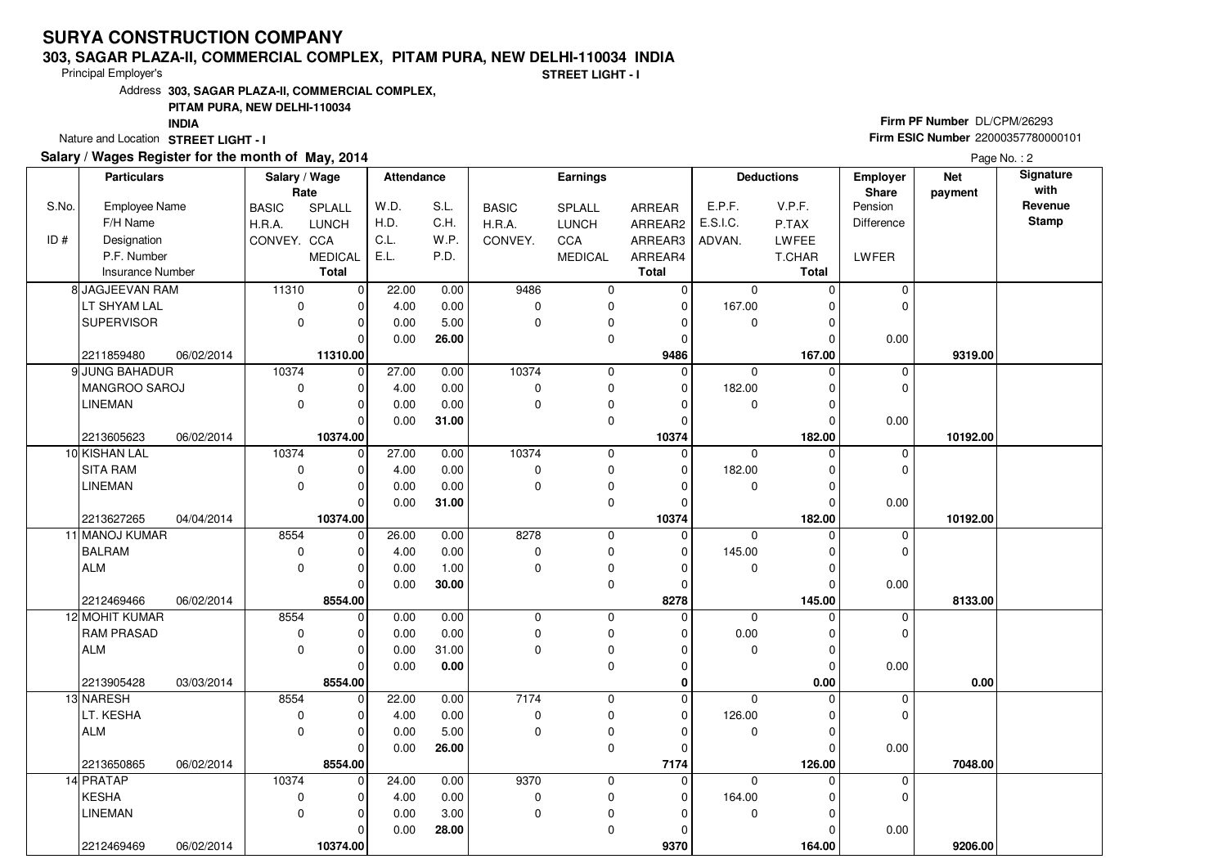#### **303, SAGAR PLAZA-II, COMMERCIAL COMPLEX, PITAM PURA, NEW DELHI-110034 INDIA**

Principal Employer's

**STREET LIGHT - I**

Address**303, SAGAR PLAZA-II, COMMERCIAL COMPLEX,**

### **PITAM PURA, NEW DELHI-110034**

**INDIA**

Nature and Location STREET LIGHT - I

### **Salary / Wages Register for the month of May, 2014**

## **Firm PF Number** DL/CPM/26293 **Firm ESIC Number** <sup>22000357780000101</sup>

Page No.: 2

|       | <b>Particulars</b>   |            | Salary / Wage<br>Rate |                | <b>Attendance</b> |       | <b>Earnings</b> |                |              |             | <b>Deductions</b> | <b>Employer</b><br>Share | <b>Net</b><br>payment | Signature<br>with |
|-------|----------------------|------------|-----------------------|----------------|-------------------|-------|-----------------|----------------|--------------|-------------|-------------------|--------------------------|-----------------------|-------------------|
| S.No. | <b>Employee Name</b> |            | <b>BASIC</b>          | SPLALL         | W.D.              | S.L.  | <b>BASIC</b>    | SPLALL         | ARREAR       | E.P.F.      | V.P.F.            | Pension                  |                       | Revenue           |
|       | F/H Name             |            | H.R.A.                | <b>LUNCH</b>   | H.D.              | C.H.  | H.R.A.          | <b>LUNCH</b>   | ARREAR2      | E.S.I.C.    | P.TAX             | <b>Difference</b>        |                       | <b>Stamp</b>      |
| ID#   | Designation          |            | CONVEY. CCA           |                | C.L.              | W.P.  | CONVEY.         | CCA            | ARREAR3      | ADVAN.      | LWFEE             |                          |                       |                   |
|       | P.F. Number          |            |                       | <b>MEDICAL</b> | E.L.              | P.D.  |                 | <b>MEDICAL</b> | ARREAR4      |             | T.CHAR            | LWFER                    |                       |                   |
|       | Insurance Number     |            |                       | <b>Total</b>   |                   |       |                 |                | <b>Total</b> |             | Total             |                          |                       |                   |
|       | 8 JAGJEEVAN RAM      |            | 11310                 | $\mathbf 0$    | 22.00             | 0.00  | 9486            | 0              | 0            | $\mathbf 0$ | $\Omega$          | $\Omega$                 |                       |                   |
|       | LT SHYAM LAL         |            | $\mathbf 0$           | 0              | 4.00              | 0.00  | 0               | 0              | $\mathbf 0$  | 167.00      | $\Omega$          | 0                        |                       |                   |
|       | <b>SUPERVISOR</b>    |            | $\mathbf 0$           | $\mathbf 0$    | 0.00              | 5.00  | $\mathbf 0$     | 0              | $\Omega$     | $\mathbf 0$ | 0                 |                          |                       |                   |
|       |                      |            |                       | $\Omega$       | 0.00              | 26.00 |                 | 0              | $\Omega$     |             | 0                 | 0.00                     |                       |                   |
|       | 2211859480           | 06/02/2014 |                       | 11310.00       |                   |       |                 |                | 9486         |             | 167.00            |                          | 9319.00               |                   |
|       | 9 JUNG BAHADUR       |            | 10374                 | $\mathbf 0$    | 27.00             | 0.00  | 10374           | 0              | $\Omega$     | 0           | $\Omega$          | 0                        |                       |                   |
|       | MANGROO SAROJ        |            | $\mathbf 0$           | $\mathbf 0$    | 4.00              | 0.00  | $\mathbf 0$     | 0              | 0            | 182.00      | 0                 | 0                        |                       |                   |
|       | <b>LINEMAN</b>       |            | $\mathbf 0$           | $\mathbf 0$    | 0.00              | 0.00  | $\mathbf 0$     | 0              | 0            | 0           | $\Omega$          |                          |                       |                   |
|       |                      |            |                       | $\Omega$       | 0.00              | 31.00 |                 | 0              | $\Omega$     |             | $\Omega$          | 0.00                     |                       |                   |
|       | 2213605623           | 06/02/2014 |                       | 10374.00       |                   |       |                 |                | 10374        |             | 182.00            |                          | 10192.00              |                   |
|       | 10 KISHAN LAL        |            | 10374                 | $\overline{0}$ | 27.00             | 0.00  | 10374           | 0              | $\Omega$     | $\Omega$    | $\Omega$          | $\mathbf 0$              |                       |                   |
|       | <b>SITA RAM</b>      |            | $\mathbf 0$           | $\mathbf 0$    | 4.00              | 0.00  | $\mathbf 0$     | 0              | 0            | 182.00      | 0                 | 0                        |                       |                   |
|       | <b>LINEMAN</b>       |            | $\mathbf 0$           | $\mathbf 0$    | 0.00              | 0.00  | $\mathbf 0$     | 0              | $\Omega$     | $\mathbf 0$ | 0                 |                          |                       |                   |
|       |                      |            |                       | $\Omega$       | 0.00              | 31.00 |                 | 0              | $\Omega$     |             | 0                 | 0.00                     |                       |                   |
|       | 2213627265           | 04/04/2014 |                       | 10374.00       |                   |       |                 |                | 10374        |             | 182.00            |                          | 10192.00              |                   |
|       | 11 MANOJ KUMAR       |            | 8554                  | $\overline{0}$ | 26.00             | 0.00  | 8278            | 0              | 0            | $\mathbf 0$ | $\mathbf 0$       | 0                        |                       |                   |
|       | BALRAM               |            | 0                     | $\mathbf 0$    | 4.00              | 0.00  | $\mathbf 0$     | 0              | $\Omega$     | 145.00      | 0                 | 0                        |                       |                   |
|       | ALM                  |            | $\mathbf 0$           | $\mathbf 0$    | 0.00              | 1.00  | $\mathbf 0$     | 0              | $\Omega$     | 0           | 0                 |                          |                       |                   |
|       |                      |            |                       | $\Omega$       | 0.00              | 30.00 |                 | 0              | $\Omega$     |             | $\Omega$          | 0.00                     |                       |                   |
|       | 2212469466           | 06/02/2014 |                       | 8554.00        |                   |       |                 |                | 8278         |             | 145.00            |                          | 8133.00               |                   |
|       | 12 MOHIT KUMAR       |            | 8554                  | $\mathbf 0$    | 0.00              | 0.00  | $\mathbf 0$     | 0              | 0            | $\mathbf 0$ | $\Omega$          | $\mathbf 0$              |                       |                   |
|       | <b>RAM PRASAD</b>    |            | 0                     | $\mathbf 0$    | 0.00              | 0.00  | 0               | 0              | O            | 0.00        | 0                 | 0                        |                       |                   |
|       | ALM                  |            | $\mathbf 0$           | $\mathbf 0$    | 0.00              | 31.00 | $\Omega$        | 0              | $\Omega$     | 0           | 0                 |                          |                       |                   |
|       |                      |            |                       | $\mathbf 0$    | 0.00              | 0.00  |                 | 0              | $\Omega$     |             | $\Omega$          | 0.00                     |                       |                   |
|       | 2213905428           | 03/03/2014 |                       | 8554.00        |                   |       |                 |                | $\bf{0}$     |             | 0.00              |                          | 0.00                  |                   |
|       | 13 NARESH            |            | 8554                  | $\mathbf 0$    | 22.00             | 0.00  | 7174            | 0              | 0            | 0           | $\Omega$          | 0                        |                       |                   |
|       | LT. KESHA            |            | $\mathbf 0$           | $\mathbf 0$    | 4.00              | 0.00  | 0               | 0              | $\Omega$     | 126.00      | 0                 | 0                        |                       |                   |
|       | ALM                  |            | $\Omega$              | $\mathbf 0$    | 0.00              | 5.00  | $\mathbf 0$     | 0              | $\Omega$     | 0           | 0                 |                          |                       |                   |
|       |                      |            |                       | $\Omega$       | 0.00              | 26.00 |                 | 0              | $\Omega$     |             | $\Omega$          | 0.00                     |                       |                   |
|       | 2213650865           | 06/02/2014 |                       | 8554.00        |                   |       |                 |                | 7174         |             | 126.00            |                          | 7048.00               |                   |
|       | 14 PRATAP            |            | 10374                 | $\mathbf 0$    | 24.00             | 0.00  | 9370            | 0              | 0            | $\Omega$    | 0                 | 0                        |                       |                   |
|       | KESHA                |            | $\mathbf 0$           | $\Omega$       | 4.00              | 0.00  | 0               | 0              | $\Omega$     | 164.00      | $\Omega$          | 0                        |                       |                   |
|       | <b>LINEMAN</b>       |            | $\mathbf 0$           | $\mathbf 0$    | 0.00              | 3.00  | $\mathbf 0$     | 0              | $\Omega$     | $\mathbf 0$ | $\Omega$          |                          |                       |                   |
|       |                      |            |                       | $\Omega$       | 0.00              | 28.00 |                 | 0              | ŋ            |             | $\Omega$          | 0.00                     |                       |                   |
|       | 2212469469           | 06/02/2014 |                       | 10374.00       |                   |       |                 |                | 9370         |             | 164.00            |                          | 9206.00               |                   |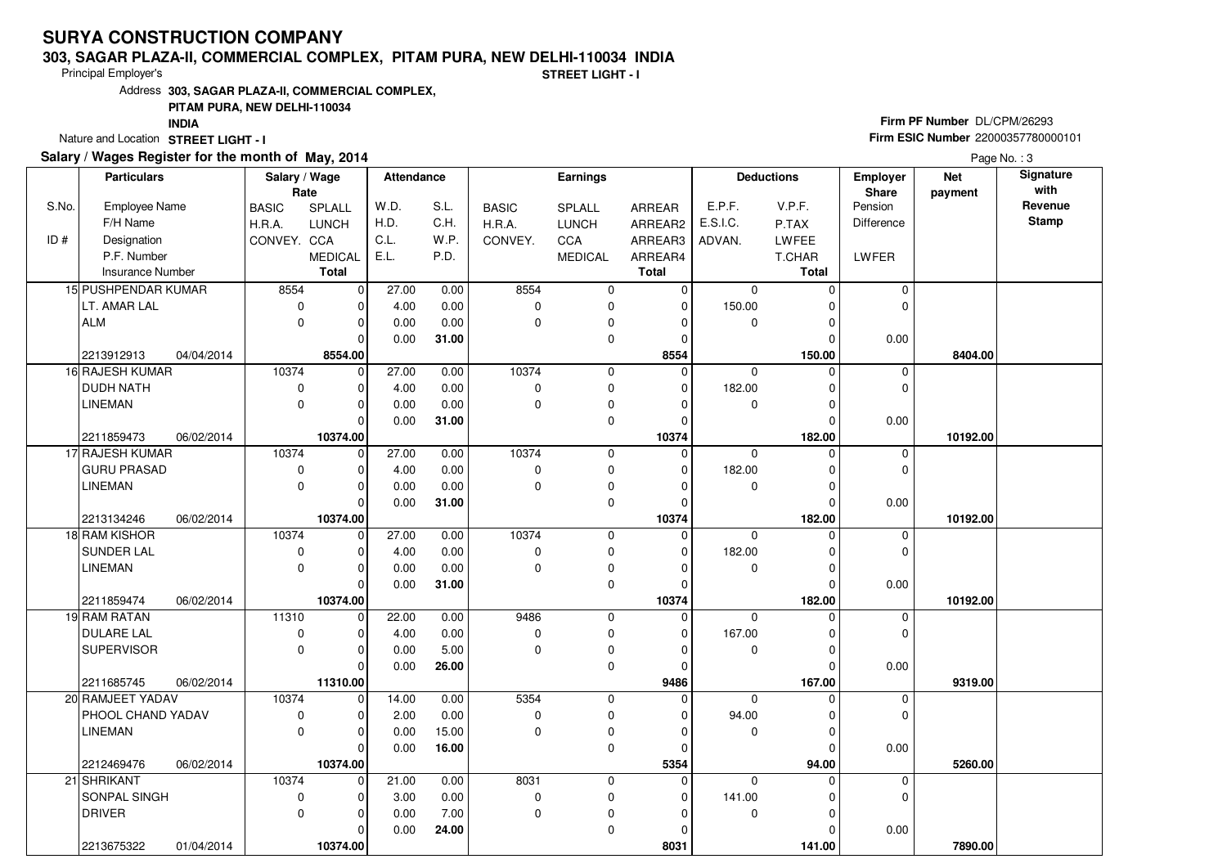#### **303, SAGAR PLAZA-II, COMMERCIAL COMPLEX, PITAM PURA, NEW DELHI-110034 INDIA**

Principal Employer's

**STREET LIGHT - I**

Address**303, SAGAR PLAZA-II, COMMERCIAL COMPLEX,**

### **PITAM PURA, NEW DELHI-110034**

**INDIA**

Nature and Location STREET LIGHT - I

### **Salary / Wages Register for the month of May, 2014**

## **Firm PF Number** DL/CPM/26293 **Firm ESIC Number** <sup>22000357780000101</sup>

Page No.: 3

|       | <b>Particulars</b>   |            | Salary / Wage<br>Rate |                         | <b>Attendance</b> |       | <b>Earnings</b> |                |                      | <b>Deductions</b> |                      | <b>Employer</b><br>Share | <b>Net</b><br>payment | Signature<br>with |
|-------|----------------------|------------|-----------------------|-------------------------|-------------------|-------|-----------------|----------------|----------------------|-------------------|----------------------|--------------------------|-----------------------|-------------------|
| S.No. | <b>Employee Name</b> |            | <b>BASIC</b>          | SPLALL                  | W.D.              | S.L.  | <b>BASIC</b>    | SPLALL         | ARREAR               | E.P.F.            | V.P.F.               | Pension                  |                       | Revenue           |
|       | F/H Name             |            | H.R.A.                | <b>LUNCH</b>            | H.D.              | C.H.  | H.R.A.          | <b>LUNCH</b>   | ARREAR2              | E.S.I.C.          | P.TAX                | Difference               |                       | Stamp             |
| ID#   | Designation          |            | CONVEY. CCA           |                         | C.L.              | W.P.  | CONVEY.         | CCA            | ARREAR3              | ADVAN.            | LWFEE                |                          |                       |                   |
|       | P.F. Number          |            |                       | <b>MEDICAL</b>          | E.L.              | P.D.  |                 | <b>MEDICAL</b> | ARREAR4              |                   | T.CHAR               | <b>LWFER</b>             |                       |                   |
|       | Insurance Number     |            |                       | <b>Total</b>            |                   |       |                 |                | <b>Total</b>         |                   | Total                |                          |                       |                   |
|       | 15 PUSHPENDAR KUMAR  |            | 8554                  | $\mathbf 0$             | 27.00             | 0.00  | 8554            | 0              | $\Omega$             | $\mathbf 0$       | $\Omega$             | $\Omega$                 |                       |                   |
|       | LT. AMAR LAL         |            | $\mathbf 0$           | $\mathbf 0$             | 4.00              | 0.00  | $\mathbf 0$     | 0              | $\mathbf 0$          | 150.00            | $\Omega$             | 0                        |                       |                   |
|       | ALM                  |            | $\Omega$              | $\mathbf 0$             | 0.00              | 0.00  | $\Omega$        | 0              | 0                    | $\mathbf 0$       | 0                    |                          |                       |                   |
|       |                      |            |                       | $\Omega$                | 0.00              | 31.00 |                 | 0              | $\Omega$             |                   | 0                    | 0.00                     |                       |                   |
|       | 2213912913           | 04/04/2014 |                       | 8554.00                 |                   |       |                 |                | 8554                 |                   | 150.00               |                          | 8404.00               |                   |
|       | 16 RAJESH KUMAR      |            | 10374                 | $\mathbf 0$             | 27.00             | 0.00  | 10374           | 0              | $\Omega$             | $\mathbf 0$       | $\Omega$             | 0                        |                       |                   |
|       | <b>DUDH NATH</b>     |            | $\mathbf 0$           | 0                       | 4.00              | 0.00  | 0               | 0              | 0                    | 182.00            | 0                    | 0                        |                       |                   |
|       | <b>LINEMAN</b>       |            | $\mathbf 0$           | $\mathbf 0$             | 0.00              | 0.00  | $\mathbf 0$     | 0              | $\Omega$             | 0                 | $\Omega$             |                          |                       |                   |
|       |                      |            |                       | $\Omega$                | 0.00              | 31.00 |                 | 0              | O                    |                   | $\Omega$             | 0.00                     |                       |                   |
|       | 2211859473           | 06/02/2014 |                       | 10374.00                |                   |       |                 |                | 10374                |                   | 182.00               |                          | 10192.00              |                   |
|       | 17 RAJESH KUMAR      |            | 10374                 | $\mathbf 0$             | 27.00             | 0.00  | 10374           | 0              | 0                    | $\mathbf 0$       | $\Omega$             | 0                        |                       |                   |
|       | <b>GURU PRASAD</b>   |            | $\mathbf 0$           | $\mathbf 0$             | 4.00              | 0.00  | $\mathbf 0$     | 0              | 0                    | 182.00            | 0                    | 0                        |                       |                   |
|       | <b>LINEMAN</b>       |            | $\mathbf 0$           | $\mathbf 0$             | 0.00              | 0.00  | 0               | 0              | 0                    | 0                 | 0                    |                          |                       |                   |
|       |                      |            |                       | $\Omega$                | 0.00              | 31.00 |                 | 0              | $\Omega$             |                   | 0                    | 0.00                     |                       |                   |
|       | 2213134246           | 06/02/2014 |                       | 10374.00                |                   |       |                 |                | 10374                |                   | 182.00               |                          | 10192.00              |                   |
|       | 18 RAM KISHOR        |            | 10374                 | $\overline{0}$          | 27.00             | 0.00  | 10374           | 0              | $\Omega$             | $\mathbf 0$       | $\Omega$             | $\mathbf 0$              |                       |                   |
|       | <b>SUNDER LAL</b>    |            | 0                     | $\mathbf 0$<br>$\Omega$ | 4.00              | 0.00  | 0<br>$\Omega$   | 0              | $\Omega$<br>$\Omega$ | 182.00            | 0                    | 0                        |                       |                   |
|       | <b>LINEMAN</b>       |            | $\Omega$              | $\Omega$                | 0.00              | 0.00  |                 | 0<br>0         | $\Omega$             | 0                 | $\Omega$<br>$\Omega$ | 0.00                     |                       |                   |
|       | 2211859474           | 06/02/2014 |                       | 10374.00                | 0.00              | 31.00 |                 |                | 10374                |                   | 182.00               |                          | 10192.00              |                   |
|       | 19 RAM RATAN         |            | 11310                 | $\mathbf 0$             | 22.00             | 0.00  | 9486            | 0              | $\mathbf 0$          | $\mathbf 0$       | 0                    | 0                        |                       |                   |
|       | <b>DULARE LAL</b>    |            | $\mathbf 0$           | $\Omega$                | 4.00              | 0.00  | $\mathbf 0$     | 0              | $\Omega$             | 167.00            | $\Omega$             | 0                        |                       |                   |
|       | <b>SUPERVISOR</b>    |            | $\mathbf 0$           | $\mathbf 0$             | 0.00              | 5.00  | $\mathbf 0$     | 0              | $\Omega$             | 0                 | 0                    |                          |                       |                   |
|       |                      |            |                       | $\Omega$                | 0.00              | 26.00 |                 | 0              | 0                    |                   | $\Omega$             | 0.00                     |                       |                   |
|       | 2211685745           | 06/02/2014 |                       | 11310.00                |                   |       |                 |                | 9486                 |                   | 167.00               |                          | 9319.00               |                   |
|       | 20 RAMJEET YADAV     |            | 10374                 | $\mathbf 0$             | 14.00             | 0.00  | 5354            | 0              | 0                    | $\Omega$          | $\Omega$             | $\mathbf 0$              |                       |                   |
|       | PHOOL CHAND YADAV    |            | $\mathbf 0$           | $\mathbf 0$             | 2.00              | 0.00  | 0               | 0              | $\Omega$             | 94.00             | 0                    | 0                        |                       |                   |
|       | <b>LINEMAN</b>       |            | $\Omega$              | $\mathbf 0$             | 0.00              | 15.00 | $\Omega$        | 0              | 0                    | $\mathbf 0$       | $\Omega$             |                          |                       |                   |
|       |                      |            |                       | $\Omega$                | 0.00              | 16.00 |                 | 0              | O                    |                   | $\Omega$             | 0.00                     |                       |                   |
|       | 2212469476           | 06/02/2014 |                       | 10374.00                |                   |       |                 |                | 5354                 |                   | 94.00                |                          | 5260.00               |                   |
|       | 21 SHRIKANT          |            | 10374                 | $\mathbf 0$             | 21.00             | 0.00  | 8031            | 0              | $\Omega$             | $\Omega$          | 0                    | 0                        |                       |                   |
|       | SONPAL SINGH         |            | $\mathbf 0$           | $\Omega$                | 3.00              | 0.00  | 0               | 0              | $\Omega$             | 141.00            | $\Omega$             | 0                        |                       |                   |
|       | <b>DRIVER</b>        |            | $\mathbf 0$           | $\mathbf 0$             | 0.00              | 7.00  | $\mathbf 0$     | 0              | $\Omega$             | $\mathbf 0$       | $\Omega$             |                          |                       |                   |
|       |                      |            |                       | $\Omega$                | 0.00              | 24.00 |                 | 0              | ŋ                    |                   | $\Omega$             | 0.00                     |                       |                   |
|       | 2213675322           | 01/04/2014 |                       | 10374.00                |                   |       |                 |                | 8031                 |                   | 141.00               |                          | 7890.00               |                   |